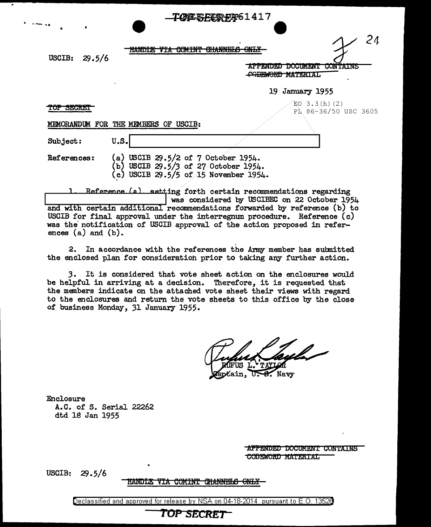| $\bullet$  |        |                               | <del>- I QAR DI CHARA</del> 0 T + T \   |                                                                            |
|------------|--------|-------------------------------|-----------------------------------------|----------------------------------------------------------------------------|
| USCIB:     | 29.5/6 | 15 JESTY 1991 1992            | AILLIND A<br><b>ULHUNILLU</b><br>WATINI | 24<br>$\alpha$ itt $\mathbf v$<br><b>URTIM</b>                             |
|            |        |                               |                                         | <b>DOCUMENT</b><br><b>AFFENDED</b><br><b>COMTAINS</b><br>CODEWORD MATERIAL |
|            |        | $\bullet$                     |                                         | 19 January 1955                                                            |
| TUP DEUREI |        |                               |                                         | $EO$ 3.3(h)(2)<br>PL 86-36/50 USC 3605                                     |
|            |        | MEMORANDUM FOR THE MEMBERS OF | <b>USCIB:</b>                           |                                                                            |
| Subject:   |        | U.S.                          |                                         |                                                                            |

**74NEFFFFDFAG1417** 

References: (a) USCIB 29.5/2 of 7 October 1954. (b) USCIB 29.5/3 of 27 October 1954. (\_c) USCIB *'29.* 5/5 of 15 November 1954.

Reference (a) setting forth certain recommendations regarding<br>| was considered by USCIBEC on 22 October 1954 and with certain additional recommendations forwarded by reference (b) to USCIB for final approval under the interregnum procedure. Reference (c) was the notification of USCIB approval of the action proposed in references (a) and (b).

2. In accordance with the references the Army member has submitted the enclosed plan for consideratioh prior to taking any further action.

*3.* It is considered that vote sheet action on the enclosures would be helpful in arriving at a decision. Therefore, it is requested that the members indicate on the attached vote sheet their views with regard to the enclosures and return the vote sheets to this office by the close of business Monday, 31 January 1955.

Kain. Navv

Enclosure A.C. of S. Serial 22262 dtd 18 Jan 1955

> APPENDED DOCUMENT CONTAINS CODEWORD MATERIAL

USCIB: 29.5/6

.. --...

#### HANDLE VIA COMINT CHANNELS ONLY

Declassified and approved for release by NSA on 04-18-2014 pursuant to E. 0. 1352B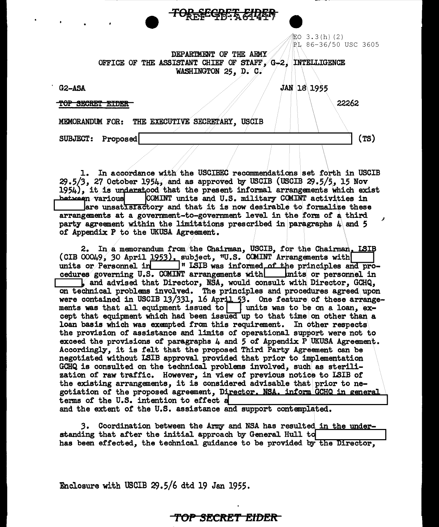記O 3.3(h)(2) PL 86-36/50 USC 3605

**JAN 18 1955** 

DEPARTMENT OF THE ARMY OFFICE OF THE ASSISTANT CHIEF OF STAFF, G-2, INTELLIGENCE WASHINGTON 25. D. C.

<del>TOBLECKSK ATMI</del>

 $G2-ASA$ 

TOP SECRET EIDER

22262

 $(TS)$ 

MEMORANDUM FOR: THE EXECUTIVE SECRETARY, USCIB

SUBJECT: Proposed

In accordance with the USCIBEC recommendations set forth in USCIB l.  $29.5/3$ , 27 October 1954, and as approved by USCIB (USCIB  $29.5/5$ , 15 Nov 1954), it is understood that the present informal arrangements which exist COMINT units and U.S. military COMINT activities in between various are unsatisfactory and that it is now desirable to formalize these arrangements at a government-to-government level in the form of a third party agreement within the limitations prescribed in paragraphs  $4$  and 5 of Appendix P to the UKUSA Agreement.

cedures governing U.S. COMINT arrangements with \_\_\_ units or personnel in , and advised that Director, NSA, would consult with Director, GCHQ, on technical problems involved. The principles and procedures agreed upon<br>were contained in USCIB 13/331, 16 April 53. One feature of these arrangements was that all equipment issued to  $\vert$  units was to be on a loan, except that equipment which had been issued up to that time on other than a loan basis which was exempted from this requirement. In other respects the provision of assistance and limits of operational support were not to exceed the provisions of paragraphs  $\mu$  and 5 of Appendix P UKUSA Agreement. Accordingly, it is felt that the proposed Third Party Agreement can be negotiated without ISIB approval provided that prior to implementation GCHQ is consulted on the technical problems involved, such as sterilization of raw traffic. However, in view of previous notice to LSIB of the existing arrangements, it is considered advisable that prior to negotiation of the proposed agreement, Director, NSA, inform GCHQ in general terms of the U.S. intention to effect a and the extent of the U.S. assistance and support contemplated.

3. Coordination between the Army and NSA has resulted in the understanding that after the initial approach by General Hull to has been effected, the technical guidance to be provided by the Director,

Enclosure with USCIB 29.5/6 dtd 19 Jan 1955.

#### <del>TOP SECRET EIDER -</del>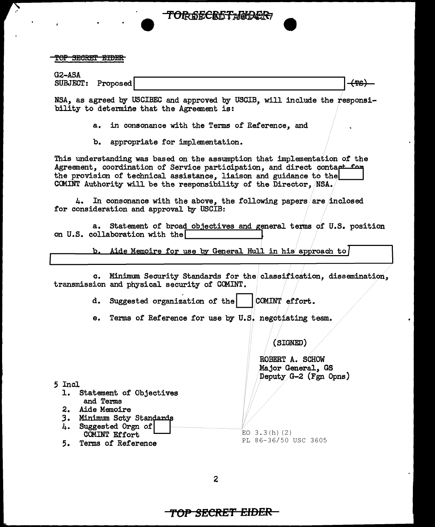TOP SECRET EIDER

| G2-ASA          |          |          |
|-----------------|----------|----------|
| <b>SUBJECT:</b> | Proposed | --<br>-- |

**TORSECRETAGOER** 

NSA, as agreed by USCIBEC and approved by USCIB, will include the responsibility to determine that the Agreement is:

- a. in consonance with the Terms of Reference, and
- b. appropriate for implementation.

This understanding was based on the assumption that implementation of the Agreement, coordination of Service participation, and direct contaet for the provision of technical assistance, liaison and guidance to the CCMINT Authority will be the responsibility of the Director, /NSA.

4. In consonance with the above, the following papers are inclosed for consideration and approval by USCIB:

a. Statement of broad objectives and general terms of U.S. position on U.S. collaboration with the

b. Aide Memoire for use by General Hull in his approach to

c. Minimum Security Standards for the classification, dissemination, transmission and physical security of CCMINT.

d. Suggested organization of the  $|COMINT|$  effort.

e. Terms of Reference for use by U.S. negotiating team.

(SIGNED)

ROBERT A. SCHOW Major General, GS Deputy.G-2 (Fgn Opns)

*5* Incl

- 1. Statement of Objectives and Terms
- 
- 2. Aide Memoire<br>3. Minimum Sctv **Minimum Scty Standards**
- 4. Suggested Orgn of COMINT Effort
- 5. Terms of Reference

 $EO$  3.3 $(h)$  (2) PL 86-36/50 USC 3605

2

**'TOP SECRE'f' EIDER**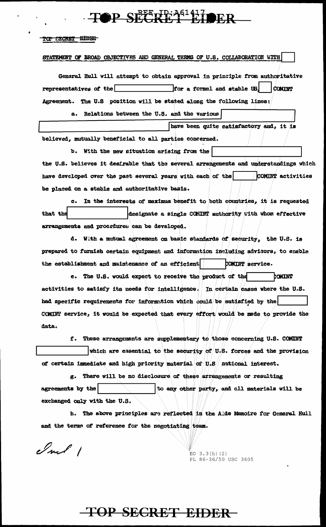## $\cdot$ TOP SEETFRA<sup>61417</sup>OFR

#### TOP SECRET EIDER

#### STATEMENT OF BROAD OBJECTIVES AND GENERAL TERMS OF U.S. COLLABORATION WITH

General Hull will attempt to obtain approval in principle from authoritative representatives of the for a formal and stable US **COMINT** Agreement. The U.S position will be stated along the following lines:

a. Relations between the U.S. and the various

have been quite satisfactory and, it is believed, mutually beneficial to all parties concerned.

b. With the new situstion arising from the the U.S. believes it desirable that the several arrangements and understandings which have developed over the past several years with each of the COMINT activities be placed on a stable and authoritative basis.

c. In the interests of maximum benefit to both countries, it is requested that the designate a single CONINT authority with whom effective arrangements and procedures can be developed.

d. With a mutual agreement on basic standards of security, the U.S. is prepared to furnish certain equipment and information including advisors, to enable the establishment and maintenance of an efficient COMINT service.

e. The U.S. would expect to receive the product of the COMINT activities to satisfy its needs for intelligence. In certain cases where the U.S. had specific requirements for information which could be satisfied by the COMINT service, it would be expected that every effort would be made to provide the data.

f. These arrangements are supplementary to those concerning U.S. COMINT which are essential to the security of U.S. forces and the provision of certain immediate and high priority material of U.S national interest.

g. There will be no disclosure of these arrangements or resulting agreements by the to any other party, and all materials will be exchanged only with the U.S.

h. The above principles are reflected in the Aide Nemoire for General Hull and the terms of reference for the negotiating team.

Inf 1

EO  $3.3(h)$  (2) PL 86-36/50 USC 3605

### **TOP SECRET EIDER**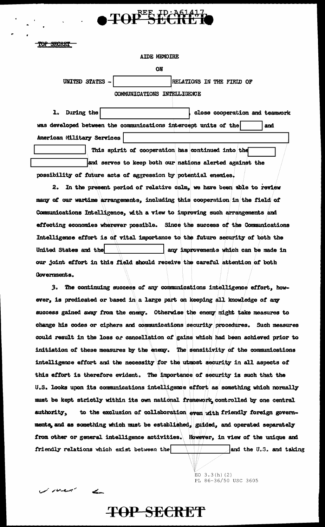**AIDE MEMOIRE** 

TOPEE ID: A61417

ON

UNITED STATES -RELATIONS IN THE FIELD OF

COMMUNICATIONS INTELLIGENCE

1. During the close cooperation and teamwork was developed between the communications intercept units of the and American Military Services

This spirit of cooperation has continued into the and serves to keep both our nations alerted against the possibility of future acts of aggression by potential enemies.

2. In the present period of relative calm, we have been able to review many of our wartime arrangements, including this cooperation in the field of Communications Intelligence, with a view to improving such arrangements and effecting economies wherever possible. Since the success of the Communications Intelligence effort is of vital importance to the future security of both the United States and the any improvements which can be made in our joint effort in this field should receive the careful attention of both Governments.

3. The continuing success of any communications intelligence effort, however, is predicated or based in a large part on keeping all knowledge of any success gained away from the enemy. Otherwise the enemy might take measures to change his codes or ciphers and communications security procedures. Such measures could result in the loss or cancellation of gains which had been achieved prior to initiation of these measures by the enemy. The sensitivity of the communications intelligence effort and the necessity for the utmost security in all aspects of this effort is therefore evident. The importance of security is such that the U.S. looks upon its communications intelligence effort as something which normally must be kept strictly within its own national framework controlled by one central to the exclusion of collaboration even with friendly foreign governauthority. ments, and as something which must be established, guided, and operated separately from other or general intelligence activities. However, in view of the unique and friendly relations which exist between the and the U.S. and taking

**TOP SECRET** 

EO  $3.3(h)$  (2) PL 86-36/50 USC 3605

i mari du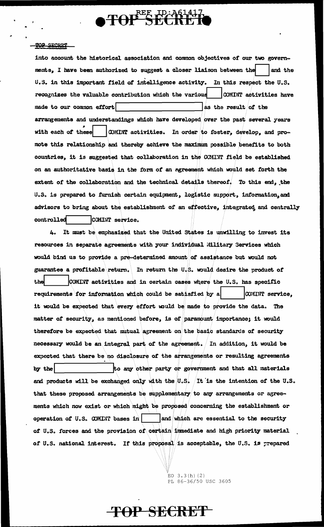

into account the historical association and common objectives of our two governments, I have been authorized to suggest a closer liaison between the and the U.S. in this important field of intelligence activity. In this respect the U.S. recognizes the valuable contribution which the various COMINT activities have made to our common effort as the result of the arrangements and understandings which have developed over the past several years with each of these COMINT activities. In order to foster, develop, and promote this relationship and thereby achieve the maximum possible benefits to both countries, it is suggested that collaboration in the COMINT field be established on an authoritative basis in the form of an agreement which would set forth the extent of the collaboration and the technical details thereof. To this end, the U.S. is prepared to furnish certain equipment, logistic support, information, and advisors to bring about the establishment of an effective, integrated and centrally controlled COMINT service.

It must be emphasized that the United States is unwilling to invest its Ь. resources in separate agreements with your individual Hilitary Services which would bind us to provide a pre-determined amount of assistance but would not guarantee a profitable return. In return the U.S. would desire the product of the COMINT activities and in certain cases where the U.S. has specific requirements for information which could be satisfied by a COMINT service, it would be expected that every effort would be made to provide the data. The matter of security, as mentioned before, is of paramount importance; it would therefore be expected that mitual agreement on the basic standards of security necessary would be an integral part of the agreement. In addition, it would be expected that there be no disclosure of the arrangements or resulting agreements by the to any other party or government and that all materials and products will be exchanged only with the  $0.5$ . It is the intention of the  $0.5$ . that these proposed arrangements be supplementary to any arrangements or agreements which now exist or which might be proposed concerning the establishment or operation of U.S. COMINT bases in  $|$  and which are essential to the security of U.S. forces and the provision of certain immediate and high priority material of U.S. national interest. If this proposal is acceptable, the U.S. is prepared

**TOP SECRET** 

EO  $3.3(h)$  (2) PL 86-36/50 USC 3605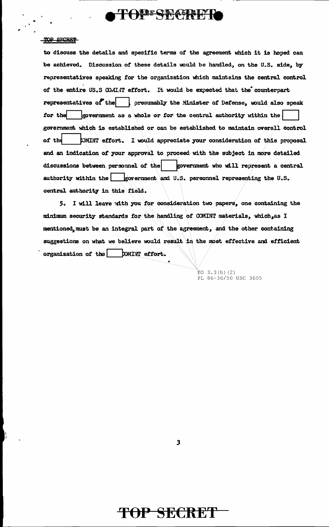### **OFEE CLIMAGRALIZING**

#### TOP SFORET

 $\ddot{\bullet}$ 

to discuss the details and specific terms of the agreement which it is hoped can be achieved.. Discussion of these details would be handled, on the U.S. side, by representatives speaking for the organization which maintains the central control of the entire US.S CO.IINT effort. It would be expected that the counterpart representatives of the presumably the Minister of Defense, would also speak for the  $\vert$  government as a whole or for the central authority within the government which is established or can be established to maintain overall control of the **EXMLNT** effort. I would appreciate your consideration of this proposal and an indication of your approval to proceed with the subject in more detailed discussions between personnel of the government who will represent a central authority within the  $\Box$  government and U.S. personnel representing the U.S. central authority in this field.

5. I will leave with you for consideration two papers, one containing the minimum security standards for the handling of COMINT materials, which, as I mentioned, must be an integral part of the agreement, and the other containing suggestions on what we believe would result in the most effective and efficient organization of the  $|$  DMINT effort.

> $EO$  3.3(h)(2) PL 86-36/50 USC 3605

3

### **T()P SECRET**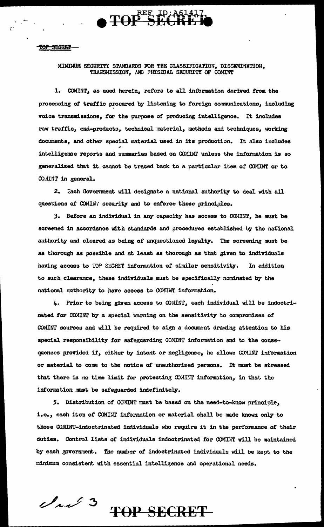

#### MINIMUM SECURITY STANDARDS FOR THE CLASSIFICATION, DISSEMINATION, TRANSMISSION, AND PHYSICAL SECURITY OF COMINT

1. COMINT, as used herein, refers to all information derived from the processing of traffic procured by listening to foreign communications, including voice transmissions, for the purpose of producing intelligence. It includes raw traffic, end-products, technical material, methods and techniques, working documents, and other special material used in its production. It also includes intelligence reports and summaries based on COMINT unless the information is so generalized that it cannot be traced back to a particular item of COMINT or to CO.IINT in general.

2. Each Government will designate a national authority to deal with all questions of COMIN: security and to enforce these principles.

3. Before an individual in any capacity has access to COMINT, he must be screened in accordance with standards and procedures established by the national authority and cleared as being of unquestioned loyalty. The screening must be as thorough as possible and at least as thorough as that given to individuals having access to TOP SECRET information of similar sensitivity. In addition to such clearance, these individuals must be specifically nominated by the national authority to have access to COMINT information.

4. Prior to being given access to COMINT, each individual will be indoctrinated for COMINT by a special warning on the sensitivity to compromises of COMINT sources and will be required to sign a document drawing attention to his special responsibility for safeguarding COMINT information and to the consequences provided if, either by intent or negligence, he allows COMINT information or material to come to the notice of unauthorized persons. It must be stressed that there is no time limit for protecting COMINT information, in that the information must be safeguarded indefinitely.

5. Distribution of COMINT must be based on the need-to-know principle, i.e., each item of COMINT information or material shall be made known only to those COMINT-indoctrinated individuals who require it in the performance of their duties. Control lists of individuals indoctrinated for COMINT will be maintained by each government. The number of indoctrinated individuals will be kept to the minimum consistent with essential intelligence and operational needs.

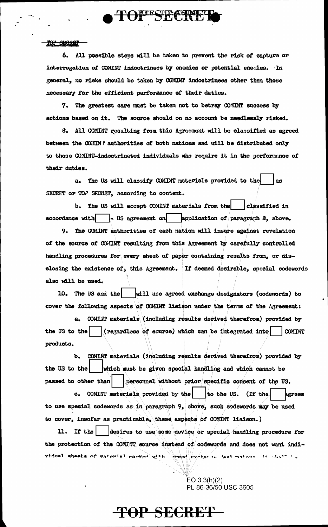6. All possible steps will be taken to prevent the risk of capture or interrogation of COMINT indoctrinees by enemies or potential enemies. In general, no risks should be taken by COMINT indoctrinees other than those necessary for the efficient performance of their duties.

**TOFFSECRI** 

7. The greatest care must be taken not to betray COMINT success by actions based on it. The source should on no account be needlessly risked.

8. All COMINT resulting from this Agreement will be classified as agreed between the COMIN ? authorities of both nations and will be distributed only to those COMINT-indoctrinated individuals who require it in the performance of their duties.

a. The US will classify COMINT materials provided to the 88 SECRET or TO.' SECRET, according to content.

b. The US will accept COMINT materials from the classified in accordance with  $\sim$  US agreement on application of paragraph  $\beta$ , above.

9. The COMINT authorities of each nation will insure against revelation of the source of COMINT resulting from this Agreement by carefully controlled handling procedures for every sheet of paper containing results from, or disclosing the existence of, this Agreement. If deemed desirable, special codewords also will be used.

10. The US and the | will use agreed exchange designators (codewords) to cover the following aspects of COMINT liaison under the terms of the Agreement:

a. COMINT materials (including results derived therefrom) provided by the US to the | (regardless of source) which can be integrated into | COMINT products.

b. COMINT materials (including results derived therefrom) provided by the US to the which must be given special handling and which cannot be passed to other than personnel without prior specific consent of the US. c. COMINT materials provided by the to the US. (If the agrees

to use special codewords as in paragraph 9, above, such codewords may be used to cover, insofar as practicable, these aspects of COMINT liaison.)

11. If the | |desires to use some device or special handling procedure for the protection of the COMINT source instead of codewords and does not want individual sheets of material manked  $d_{\text{th}}$  and  $d_{\text{ex}}$  and not maters. It shall is

> $EO 3.3(h)(2)$ PL 86-36/50 USC 3605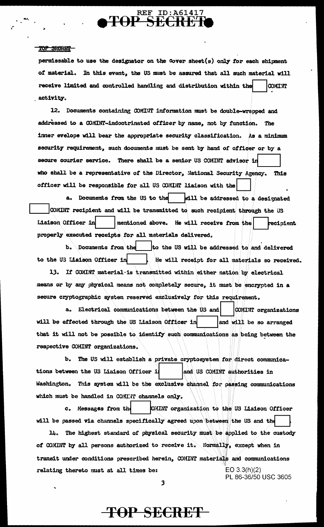#### TOP SECRET-

permissable to use the designator on the cover sheet(s) only for each shipment of material. In this event, the US must be assured that all such material will receive limited and controlled handling and distribution within the **COMINT** activity.

12. Documents containing COMINT information must be double-wrapped and addressed to a COMINT-indoctrinated officer by name, not by function. The inner evelope will bear the appropriate security classification. As a minimum security requirement, such documents must be sent by hand of officer or by a secure courier service. There shall be a senior US COMINT advisor in who shall be a representative of the Director, National Security Agency. This officer will be responsible for all US COMINT liaison with the

a. Documents from the US to the will be addressed to a designated COMINT recipient and will be transmitted to such recipient through the US Liaison Officer in mentioned above. He will receive from the recipient properly executed receipts for all materials delivered.

b. Documents from the to the US will be addressed to and delivered to the US Liaison Officer in He will receipt for all materials so received.

13. If COMINT material is transmitted within either nation by electrical means or by any ohysical means not completely secure, it must be encrypted in a secure cryptographic system reserved exclusively for this requirement.

a. Electrical communications between the US and COMINT organizations will be effected through the US Liaison Officer in and will be so arranged that it will not be possible to identify such communications as being between the respective COMINT organizations.

b. The US will establish a private cryptosystem for direct communications between the US Liaison Officer i and US COMINT authorities in Washington. This system will be the exclusive channel for passing communications which must be handled in COMINT channels only.

c. Messages from the CHINT organization to the US Liaison Officer will be passed via channels specifically agreed upon between the US and the

14. The highest standard of physical security must be applied to the custody of COMINT by all persons authorized to receive it. Normally, except when in transit under conditions prescribed herein, COMINT materials and communications  $EO 3.3(h)(2)$ relating thereto must at all times be: PL 86-36/50 USC 3605

 $\mathbf{3}$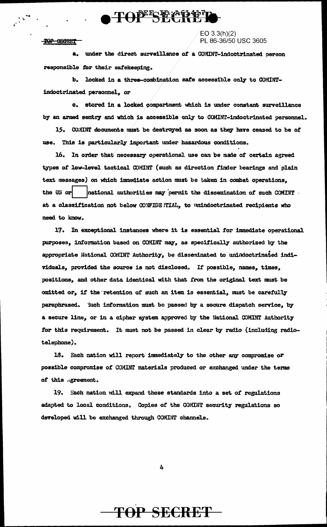### TOPECE PACTI

#### TOP SECRET

#### $EO 3.3(h)(2)$ PL 86-36/50 USC 3605

a. under the direct surveillance of a COMINT-indoctrinated person responsible for their safekeeping.

b. locked in a three-combination safe accessible only to COMINTindoctrinated personnel, or

c. stored in a locked compartment which is under constant surveillance by an armed sentry and which is accessible only to COMINT-indoctrinated personnel.

15. COMINT documents must be destroyed as soon as they have ceased to be of use. This is particularly important under hazardous conditions.

16. In order that necessary operational use can be made of certain agreed types of low-level tactical COMINT (such as direction finder bearings and plain text messages) on which immediate action must be taken in combat operations, the US or national authorities may permit the dissemination of such COMINT. at a classification not below CONFIDE ITIAL, to unindoctrinated recipients who need to know.

17. In exceptional instances where it is essential for immediate operational purposes, information based on COMINT may, as specifically authorized by the appropriate National COMINT Authority, be disseminated to unindoctrinated individuals, provided the source is not disclosed. If possible, names, times, positions, and other data identical with that from the original text must be omitted or, if the retention of such an item is essential, must be carefully paraphrased. Such information must be passed by a secure dispatch service, by a secure line, or in a cipher system approved by the National COMINT Authority for this requirement. It must not be passed in clear by radio (including radiotelephone).

18. Each nation will report immediately to the other any compromise or possible compromise of COMINT materials produced or exchanged under the terms of this agreement.

19. Each nation will expand these standards into a set of regulations adapted to local conditions. Copies of the COMINT security regulations so developed will be exchanged through COMINT channels.

4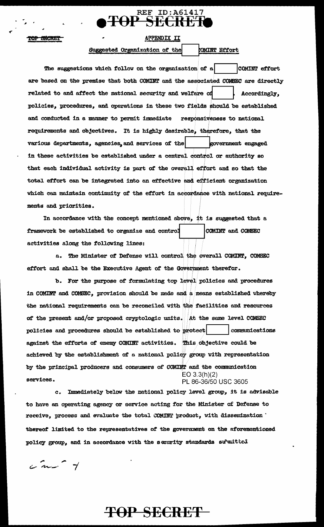### **REF ID:A61417** TOP SECRET

APPENDIX II

TOP SECRET

### Suggested Organization of the

#### CMINT Effort

The suggestions which follow on the organization of a COMINT effort are based on the premise that both COMINT and the associated COMSEC are directly related to and affect the national security and welfare of Accordingly, policies, procedures, and operations in these two fields should be established and conducted in a manner to permit immediate responsiveness to national requirements and objectives. It is highly desirable, therefore, that the various departments, agencies, and services of the government engaged in these activities be established under a central control or authority so that each individual activity is part of the overall effort and so that the total effort can be integrated into an effective and efficient organization which can maintain continuity of the effort in accordance with national requirements and priorities.

In accordance with the concept mentioned above, it is suggested that a framework be established to organize and control COMINT and COMSEC activities along the following lines:

a. The Minister of Defense will control the overall COMINT, COMEEC effort and shall be the Executive Agent of the Government therefor.

b. For the purpose of formulating top level policies and procedures in COMINT and COMEEC, provision should be made and a means established whereby the national requirements can be reconciled with the facilities and resources of the present and/or proposed cryptologic units. At the same level COMSEC policies and procedures should be established to protect communications against the efforts of enemy COMINT activities. This objective could be achieved by the establishment of a national policy group with representation by the principal producers and consumers of COMINT and the communication  $EO 3.3(h)(2)$ services. PL 86-36/50 USC 3605

Immediately below the national policy level group, it is advisable to have an operating agency or service acting for the Minister of Defense to receive, process and evaluate the total COMINT product, with dissemination ' thereof limited to the representatives of the government on the aforementioned policy group, and in accordance with the security standards submitted

 $\frac{1}{2}$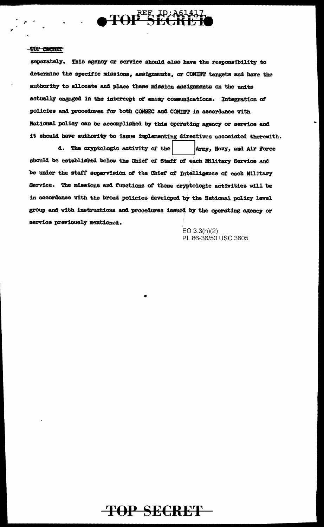

separately. This agency or service should also have the responsibility to determine the specific missions, assignments, or COMINT targets and have the authority to allocate and place these mission assignments on the units actually engaged in the intercept of enemy communications. Integration of policies and procedures for both COMSEC and COMINT in accordance with National policy can be accomplished by this operating agency or service and it should have authority to issue implementing directives associated therewith.

d. The cryptologic activity of the Army, Navy, and Air Force should be established below the Chief of Staff of each Military Service and be under the staff supervision of the Chief of Intelligence of each Military Service. The missions and functions of these cryptologic activities will be in accordance with the broad policies developed by the National policy level group and with instructions and procedures issued by the operating agency or service previously mentioned.

> EO  $3.3(h)(2)$ PL 86-36/50 USC 3605

**TOP SECRET**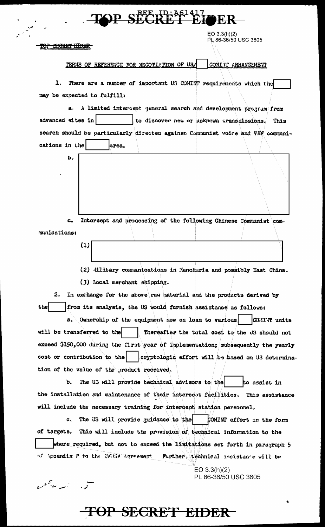## P SECRET FIN

 $EO 3.3(h)(2)$ PL 86-36/50 USC 3605

TOP SECRET EIDER

 $\mathbf{b}_x$ 

 $(1)$ 

يد.<br>همه است سو<sup>ست</sup> عبد

#### TERMS OF REFERENCE FOR NEGOTIATION OF US/ COMINT ARRANGEMENT

1. There are a number of important US COMINT requirements which the may be expected to fulfill:

a. A limited intercept general search and development program from advanced sites in to discover new or unknown transmissions. This search should be particularly directed against Communist voice and VHF communications in the larea.

 $\mathbf{c}$ . Intercept and processing of the following Chinese Communist communications:

> (2) illitary communications in Manchuria and possibly East China. (3) Local merchant shipping.

2. In exchange for the above raw material and the products derived by from its analysis, the US would furnish assistance as follows: thel

a. Ownership of the equipment now on loan to various | COMINT units will be transferred to the Thereafter the total cost to the JS should not exceed \$150,000 during the first year of implementation; subsequently the yearly cost or contribution to the cryptologic effort will be based on US determination of the value of the product received.

b. The U3 will provide technical advisors to the to assist in the installation and maintenance of their intercept facilities. This assistance will include the necessary training for intercept station personnel.

The US will provide guidance to the COMINT effort in the form  $\mathbf{C}_{\infty}$ of targets. This will include the provision of technical information to the where required, but not to exceed the limitations set forth in paragraph 5 of Appendix P to the UKASA Agreement. Further, technical assistance will be

 $EO 3.3(h)(2)$ 

PL 86-36/50 USC 3605

**TOP SECRET EIDER**